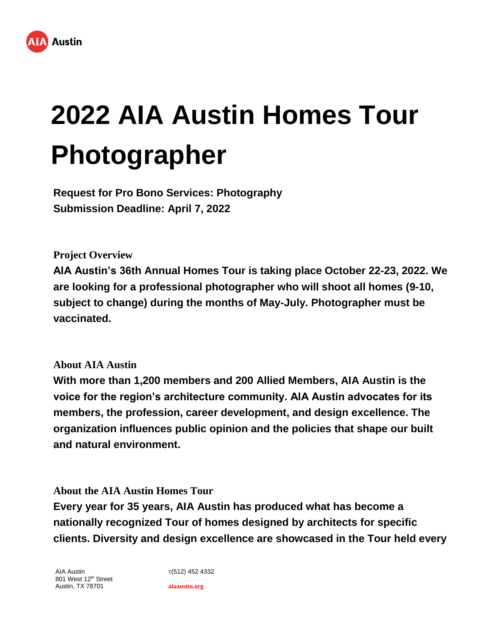

# **2022 AIA Austin Homes Tour Photographer**

**Request for Pro Bono Services: Photography Submission Deadline: April 7, 2022**

**Project Overview**

**AIA Austin's 36th Annual Homes Tour is taking place October 22-23, 2022. We are looking for a professional photographer who will shoot all homes (9-10, subject to change) during the months of May-July. Photographer must be vaccinated.**

## **About AIA Austin**

**With more than 1,200 members and 200 Allied Members, AIA Austin is the voice for the region's architecture community. AIA Austin advocates for its members, the profession, career development, and design excellence. The organization influences public opinion and the policies that shape our built and natural environment.**

**About the AIA Austin Homes Tour**

**Every year for 35 years, AIA Austin has produced what has become a nationally recognized Tour of homes designed by architects for specific clients. Diversity and design excellence are showcased in the Tour held every** 

AIA Austin 801 West 12<sup>th</sup> Street Austin, TX 78701

T(512) 452 4332 **aiaaustin.org**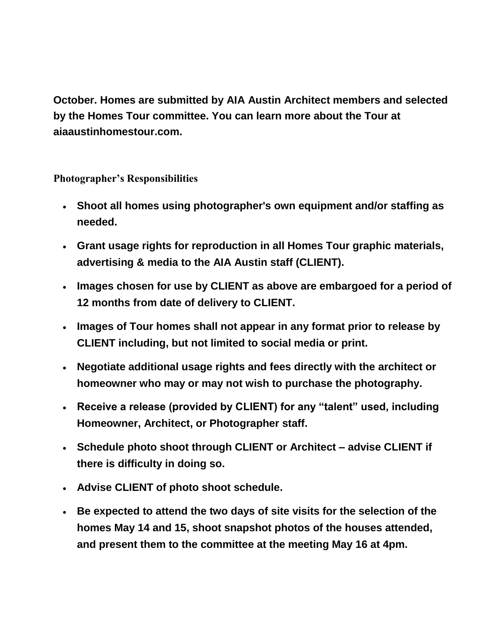**October. Homes are submitted by AIA Austin Architect members and selected by the Homes Tour committee. You can learn more about the Tour at aiaaustinhomestour.com.**

**Photographer's Responsibilities**

- **Shoot all homes using photographer's own equipment and/or staffing as needed.**
- **Grant usage rights for reproduction in all Homes Tour graphic materials, advertising & media to the AIA Austin staff (CLIENT).**
- **Images chosen for use by CLIENT as above are embargoed for a period of 12 months from date of delivery to CLIENT.**
- **Images of Tour homes shall not appear in any format prior to release by CLIENT including, but not limited to social media or print.**
- **Negotiate additional usage rights and fees directly with the architect or homeowner who may or may not wish to purchase the photography.**
- **Receive a release (provided by CLIENT) for any "talent" used, including Homeowner, Architect, or Photographer staff.**
- **Schedule photo shoot through CLIENT or Architect – advise CLIENT if there is difficulty in doing so.**
- **Advise CLIENT of photo shoot schedule.**
- **Be expected to attend the two days of site visits for the selection of the homes May 14 and 15, shoot snapshot photos of the houses attended, and present them to the committee at the meeting May 16 at 4pm.**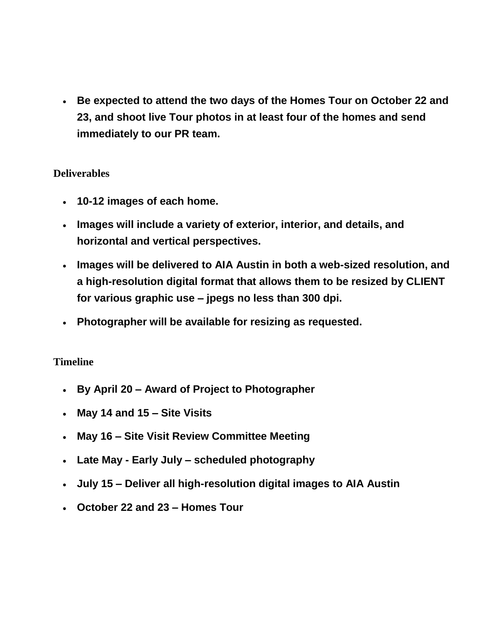**Be expected to attend the two days of the Homes Tour on October 22 and 23, and shoot live Tour photos in at least four of the homes and send immediately to our PR team.**

## **Deliverables**

- **10-12 images of each home.**
- **Images will include a variety of exterior, interior, and details, and horizontal and vertical perspectives.**
- **Images will be delivered to AIA Austin in both a web-sized resolution, and a high-resolution digital format that allows them to be resized by CLIENT for various graphic use – jpegs no less than 300 dpi.**
- **Photographer will be available for resizing as requested.**

## **Timeline**

- **By April 20 – Award of Project to Photographer**
- **May 14 and 15 – Site Visits**
- **May 16 – Site Visit Review Committee Meeting**
- **Late May - Early July – scheduled photography**
- **July 15 – Deliver all high-resolution digital images to AIA Austin**
- **October 22 and 23 – Homes Tour**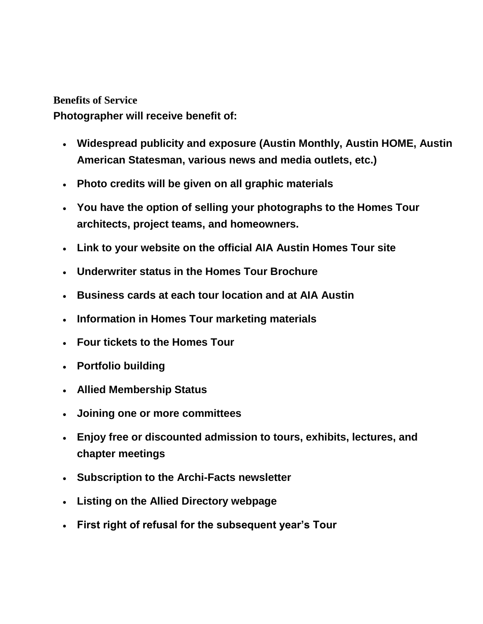### **Benefits of Service**

**Photographer will receive benefit of:**

- **Widespread publicity and exposure (Austin Monthly, Austin HOME, Austin American Statesman, various news and media outlets, etc.)**
- **Photo credits will be given on all graphic materials**
- **You have the option of selling your photographs to the Homes Tour architects, project teams, and homeowners.**
- **Link to your website on the official AIA Austin Homes Tour site**
- **Underwriter status in the Homes Tour Brochure**
- **Business cards at each tour location and at AIA Austin**
- **Information in Homes Tour marketing materials**
- **Four tickets to the Homes Tour**
- **Portfolio building**
- **Allied Membership Status**
- **Joining one or more committees**
- **Enjoy free or discounted admission to tours, exhibits, lectures, and chapter meetings**
- **Subscription to the Archi-Facts newsletter**
- **Listing on the Allied Directory webpage**
- **First right of refusal for the subsequent year's Tour**